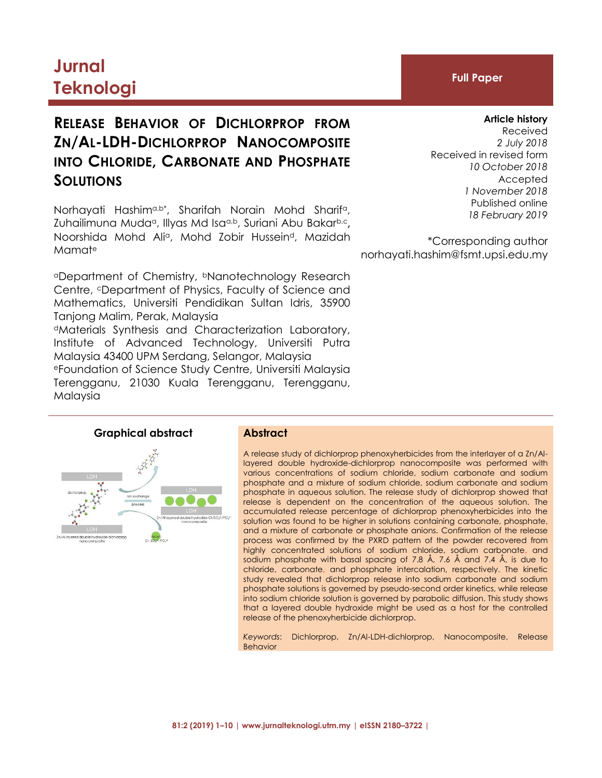# **Jurnal Teknologi Full Paper**

# **RELEASE BEHAVIOR OF DICHLORPROP FROM ZN/AL-LDH-DICHLORPROP NANOCOMPOSITE INTO CHLORIDE, CARBONATE AND PHOSPHATE SOLUTIONS**

Norhayati Hashim<sup>a,b\*</sup>, Sharifah Norain Mohd Sharif<sup>a</sup>, Zuhailimuna Muda<sup>a</sup>, Illyas Md Isa<sup>a,b</sup>, Suriani Abu Bakar<sup>b,c</sup>, Noorshida Mohd Alia, Mohd Zobir Husseind, Mazidah Mamat<sup>e</sup>

<sup>a</sup>Department of Chemistry, bNanotechnology Research Centre, *C* Department of Physics, Faculty of Science and Mathematics, Universiti Pendidikan Sultan Idris, 35900 Tanjong Malim, Perak, Malaysia <sup>d</sup>Materials Synthesis and Characterization Laboratory, Institute of Advanced Technology, Universiti Putra Malaysia 43400 UPM Serdang, Selangor, Malaysia <sup>e</sup>Foundation of Science Study Centre, Universiti Malaysia Terengganu, 21030 Kuala Terengganu, Terengganu, Malaysia

#### **Article history**

Received *2 July 2018* Received in revised form *10 October 2018* Accepted *1 November 2018* Published online *18 February 2019*

\*Corresponding author norhayati.hashim@fsmt.upsi.edu.my

### **Graphical abstract Abstract**



A release study of dichlorprop phenoxyherbicides from the interlayer of a Zn/Allayered double hydroxide-dichlorprop nanocomposite was performed with various concentrations of sodium chloride, sodium carbonate and sodium phosphate and a mixture of sodium chloride, sodium carbonate and sodium phosphate in aqueous solution. The release study of dichlorprop showed that release is dependent on the concentration of the aqueous solution. The accumulated release percentage of dichlorprop phenoxyherbicides into the solution was found to be higher in solutions containing carbonate, phosphate, and a mixture of carbonate or phosphate anions. Confirmation of the release process was confirmed by the PXRD pattern of the powder recovered from highly concentrated solutions of sodium chloride, sodium carbonate, and sodium phosphate with basal spacing of 7.8 Å, 7.6 Å and 7.4 Å, is due to chloride, carbonate, and phosphate intercalation, respectively. The kinetic study revealed that dichlorprop release into sodium carbonate and sodium phosphate solutions is governed by pseudo-second order kinetics, while release into sodium chloride solution is governed by parabolic diffusion. This study shows that a layered double hydroxide might be used as a host for the controlled release of the phenoxyherbicide dichlorprop.

*Keywords*: Dichlorprop, Zn/Al-LDH-dichlorprop, Nanocomposite, Release Behavior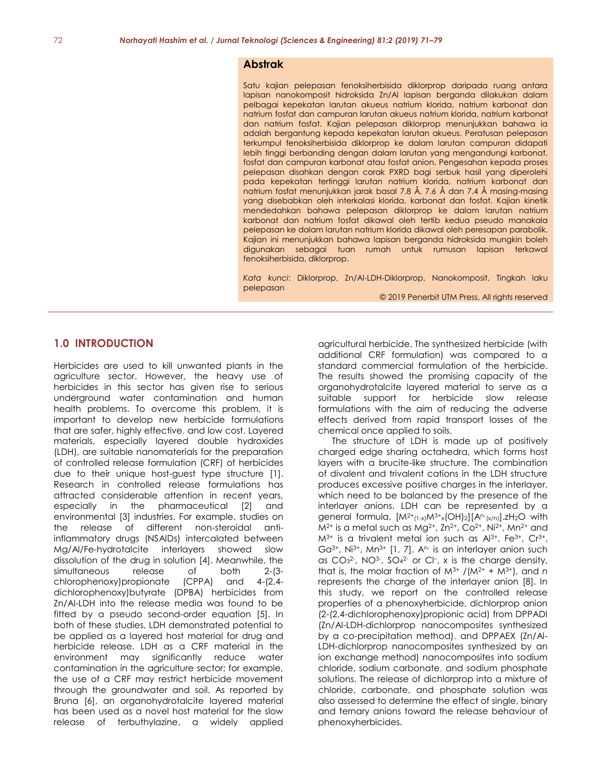#### **Abstrak**

Satu kajian pelepasan fenoksiherbisida diklorprop daripada ruang antara lapisan nanokomposit hidroksida Zn/Al lapisan berganda dilakukan dalam pelbagai kepekatan larutan akueus natrium klorida, natrium karbonat dan natrium fosfat dan campuran larutan akueus natrium klorida, natrium karbonat dan natrium fosfat. Kajian pelepasan diklorprop menunjukkan bahawa ia adalah bergantung kepada kepekatan larutan akueus. Peratusan pelepasan terkumpul fenoksiherbisida diklorprop ke dalam larutan campuran didapati lebih tinggi berbanding dengan dalam larutan yang mengandungi karbonat, fosfat dan campuran karbonat atau fosfat anion. Pengesahan kepada proses pelepasan disahkan dengan corak PXRD bagi serbuk hasil yang diperolehi pada kepekatan tertinggi larutan natrium klorida, natrium karbonat dan natrium fosfat menunjukkan jarak basal 7.8 Å, 7.6 Å dan 7.4 Å masing-masing yang disebabkan oleh interkalasi klorida, karbonat dan fosfat. Kajian kinetik mendedahkan bahawa pelepasan diklorprop ke dalam larutan natrium karbonat dan natrium fosfat dikawal oleh tertib kedua pseudo manakala pelepasan ke dalam larutan natrium klorida dikawal oleh peresapan parabolik. Kajian ini menunjukkan bahawa lapisan berganda hidroksida mungkin boleh digunakan sebagai tuan rumah untuk rumusan lapisan terkawal fenoksiherbisida, diklorprop.

*Kata kunci*: Diklorprop, Zn/Al-LDH-Diklorprop, Nanokomposit, Tingkah laku pelepasan

#### © 2019 Penerbit UTM Press. All rights reserved

#### **1.0 INTRODUCTION**

Herbicides are used to kill unwanted plants in the agriculture sector. However, the heavy use of herbicides in this sector has given rise to serious underground water contamination and human health problems. To overcome this problem, it is important to develop new herbicide formulations that are safer, highly effective, and low cost. Layered materials, especially layered double hydroxides (LDH), are suitable nanomaterials for the preparation of controlled release formulation (CRF) of herbicides due to their unique host-guest type structure [1]. Research in controlled release formulations has attracted considerable attention in recent years, especially in the pharmaceutical [2] and environmental [3] industries. For example, studies on the release of different non-steroidal antiinflammatory drugs (NSAIDs) intercalated between Mg/Al/Fe-hydrotalcite interlayers showed slow dissolution of the drug in solution [4]. Meanwhile, the simultaneous release of both 2-(3-<br>chlorophenoxy)propionate (CPPA) and 4-(2,4chlorophenoxy)propionate (CPPA) and 4-(2,4 dichlorophenoxy)butyrate (DPBA) herbicides from Zn/Al-LDH into the release media was found to be fitted by a pseudo second-order equation [5]. In both of these studies, LDH demonstrated potential to be applied as a layered host material for drug and herbicide release. LDH as a CRF material in the environment may significantly reduce water contamination in the agriculture sector; for example, the use of a CRF may restrict herbicide movement through the groundwater and soil. As reported by Bruna [6], an organohydrotalcite layered material has been used as a novel host material for the slow release of terbuthylazine, a widely applied

agricultural herbicide. The synthesized herbicide (with additional CRF formulation) was compared to a standard commercial formulation of the herbicide. The results showed the promising capacity of the organohydrotalcite layered material to serve as a suitable support for herbicide slow release formulations with the aim of reducing the adverse effects derived from rapid transport losses of the chemical once applied to soils.

The structure of LDH is made up of positively charged edge sharing octahedra, which forms host layers with a brucite-like structure. The combination of divalent and trivalent cations in the LDH structure produces excessive positive charges in the interlayer, which need to be balanced by the presence of the interlayer anions. LDH can be represented by a general formula,  $[M^{2+}(1-x)M^{3+}(OH)_2][A^{n-}(x/n)]zH_2O$  with  $M^{2+}$  is a metal such as Mg<sup>2+</sup>, Zn<sup>2+</sup>, Co<sup>2+</sup>, Ni<sup>2+</sup>, Mn<sup>2+</sup> and  $M^{3+}$  is a trivalent metal ion such as  $Al^{3+}$ , Fe<sup>3+</sup>, Cr<sup>3+</sup>, Ga<sup>3+</sup>, Ni<sup>3+</sup>, Mn<sup>3+</sup> [1, 7]. A<sup>n-</sup> is an interlayer anion such as  $CO<sub>3</sub><sup>2</sup>$ , NO<sup>3</sup>-, SO<sub>4</sub><sup>2-</sup> or CI-, x is the charge density, that is, the molar fraction of  $M^{3+}$  /( $M^{2+}$  +  $M^{3+}$ ), and *n* represents the charge of the interlayer anion [8]. In this study, we report on the controlled release properties of a phenoxyherbicide, dichlorprop anion (2-(2,4-dichlorophenoxy)propionic acid) from DPPADI (Zn/Al-LDH-dichlorprop nanocomposites synthesized by a co-precipitation method), and DPPAEX (Zn/Al-LDH-dichlorprop nanocomposites synthesized by an ion exchange method) nanocomposites into sodium chloride, sodium carbonate, and sodium phosphate solutions. The release of dichlorprop into a mixture of chloride, carbonate, and phosphate solution was also assessed to determine the effect of single, binary and ternary anions toward the release behaviour of phenoxyherbicides.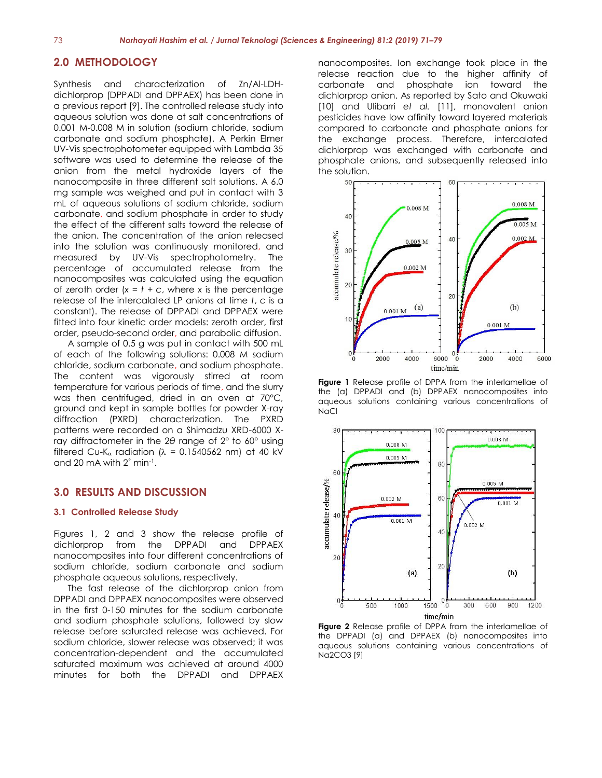#### **2.0 METHODOLOGY**

Synthesis and characterization of Zn/Al-LDHdichlorprop (DPPADI and DPPAEX) has been done in a previous report [9]. The controlled release study into aqueous solution was done at salt concentrations of 0.001 M-0.008 M in solution (sodium chloride, sodium carbonate and sodium phosphate). A Perkin Elmer UV-Vis spectrophotometer equipped with Lambda 35 software was used to determine the release of the anion from the metal hydroxide layers of the nanocomposite in three different salt solutions. A 6.0 mg sample was weighed and put in contact with 3 mL of aqueous solutions of sodium chloride, sodium carbonate, and sodium phosphate in order to study the effect of the different salts toward the release of the anion. The concentration of the anion released into the solution was continuously monitored, and measured by UV-Vis spectrophotometry. The percentage of accumulated release from the nanocomposites was calculated using the equation of zeroth order  $(x = t + c$ , where *x* is the percentage release of the intercalated LP anions at time *t*, *c* is a constant). The release of DPPADI and DPPAEX were fitted into four kinetic order models: zeroth order, first order, pseudo-second order, and parabolic diffusion.

A sample of 0.5 g was put in contact with 500 mL of each of the following solutions: 0.008 M sodium chloride, sodium carbonate, and sodium phosphate. The content was vigorously stirred at room temperature for various periods of time, and the slurry was then centrifuged, dried in an oven at 70°C, ground and kept in sample bottles for powder X-ray diffraction (PXRD) characterization. The PXRD patterns were recorded on a Shimadzu XRD-6000 Xray diffractometer in the 2*θ* range of 2° to 60° using filtered Cu-K<sub>a</sub> radiation ( $\lambda$  = 0.1540562 nm) at 40 kV and 20 mA with 2° min<sup>-1</sup>.

## **3.0 RESULTS AND DISCUSSION**

#### **3.1 Controlled Release Study**

Figures 1, 2 and 3 show the release profile of dichlorprop from the DPPADI and DPPAEX nanocomposites into four different concentrations of sodium chloride, sodium carbonate and sodium phosphate aqueous solutions, respectively.

The fast release of the dichlorprop anion from DPPADI and DPPAEX nanocomposites were observed in the first 0-150 minutes for the sodium carbonate and sodium phosphate solutions, followed by slow release before saturated release was achieved. For sodium chloride, slower release was observed; it was concentration-dependent and the accumulated saturated maximum was achieved at around 4000 minutes for both the DPPADI and DPPAEX

nanocomposites. Ion exchange took place in the release reaction due to the higher affinity of carbonate and phosphate ion toward the dichlorprop anion. As reported by Sato and Okuwaki [10] and Ulibarri *et al.* [11], monovalent anion pesticides have low affinity toward layered materials compared to carbonate and phosphate anions for the exchange process. Therefore, intercalated dichlorprop was exchanged with carbonate and phosphate anions, and subsequently released into the solution.



**Figure 1** Release profile of DPPA from the interlamellae of the (a) DPPADI and (b) DPPAEX nanocomposites into aqueous solutions containing various concentrations of NaCl



**Figure 2** Release profile of DPPA from the interlamellae of the DPPADI (a) and DPPAEX (b) nanocomposites into aqueous solutions containing various concentrations of Na2CO3 [9]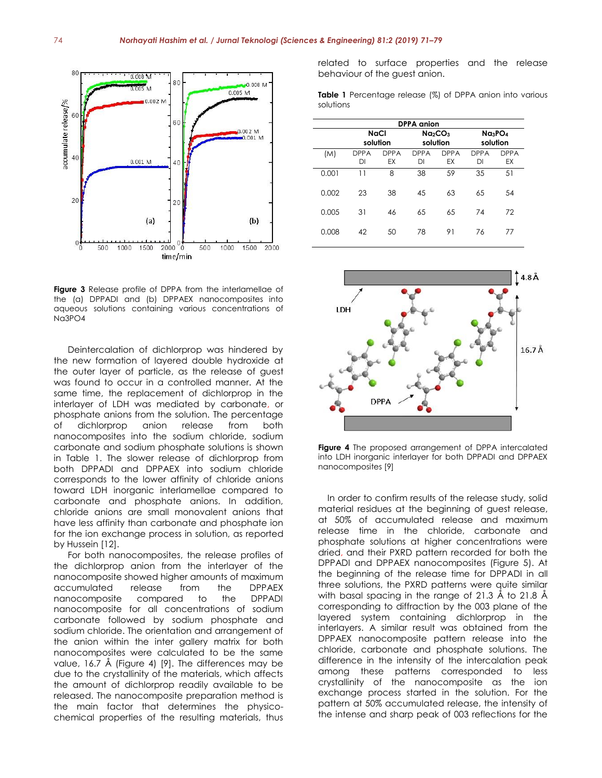

**Figure 3** Release profile of DPPA from the interlamellae of the (a) DPPADI and (b) DPPAEX nanocomposites into aqueous solutions containing various concentrations of Na3PO4

Deintercalation of dichlorprop was hindered by the new formation of layered double hydroxide at the outer layer of particle, as the release of guest was found to occur in a controlled manner. At the same time, the replacement of dichlorprop in the interlayer of LDH was mediated by carbonate, or phosphate anions from the solution. The percentage of dichlorprop anion release from both nanocomposites into the sodium chloride, sodium carbonate and sodium phosphate solutions is shown in Table 1. The slower release of dichlorprop from both DPPADI and DPPAEX into sodium chloride corresponds to the lower affinity of chloride anions toward LDH inorganic interlamellae compared to carbonate and phosphate anions. In addition, chloride anions are small monovalent anions that have less affinity than carbonate and phosphate ion for the ion exchange process in solution, as reported by Hussein [12].

For both nanocomposites, the release profiles of the dichlorprop anion from the interlayer of the nanocomposite showed higher amounts of maximum accumulated release from the DPPAEX nanocomposite compared to the DPPADI nanocomposite for all concentrations of sodium carbonate followed by sodium phosphate and sodium chloride. The orientation and arrangement of the anion within the inter gallery matrix for both nanocomposites were calculated to be the same value, 16.7 Å (Figure 4) [9]. The differences may be due to the crystallinity of the materials, which affects the amount of dichlorprop readily available to be released. The nanocomposite preparation method is the main factor that determines the physicochemical properties of the resulting materials, thus

related to surface properties and the release behaviour of the guest anion.

**Table 1** Percentage release (%) of DPPA anion into various solutions

| <b>DPPA</b> anion |                   |                   |                                             |                   |                                             |                          |
|-------------------|-------------------|-------------------|---------------------------------------------|-------------------|---------------------------------------------|--------------------------|
|                   | NaCl<br>solution  |                   | Na <sub>2</sub> CO <sub>3</sub><br>solution |                   | Na <sub>3</sub> PO <sub>4</sub><br>solution |                          |
| (M)               | <b>DPPA</b><br>DI | <b>DPPA</b><br>EX | <b>DPPA</b><br>DI                           | <b>DPPA</b><br>EX | <b>DPPA</b><br>DI                           | <b>DPPA</b><br><b>EX</b> |
| 0.001             | 11                | 8                 | 38                                          | 59                | 35                                          | 51                       |
| 0.002             | 23                | 38                | 45                                          | 63                | 65                                          | 54                       |
| 0.005             | 31                | 46                | 65                                          | 65                | 74                                          | 72                       |
| 0.008             | 42                | 50                | 78                                          | 91                | 76                                          | 77                       |



**Figure 4** The proposed arrangement of DPPA intercalated into LDH inorganic interlayer for both DPPADI and DPPAEX nanocomposites [9]

In order to confirm results of the release study, solid material residues at the beginning of guest release, at 50% of accumulated release and maximum release time in the chloride, carbonate and phosphate solutions at higher concentrations were dried, and their PXRD pattern recorded for both the DPPADI and DPPAEX nanocomposites (Figure 5). At the beginning of the release time for DPPADI in all three solutions, the PXRD patterns were quite similar with basal spacing in the range of 21.3 Å to 21.8 Å corresponding to diffraction by the 003 plane of the layered system containing dichlorprop in the interlayers. A similar result was obtained from the DPPAEX nanocomposite pattern release into the chloride, carbonate and phosphate solutions. The difference in the intensity of the intercalation peak among these patterns corresponded to less crystallinity of the nanocomposite as the ion exchange process started in the solution. For the pattern at 50% accumulated release, the intensity of the intense and sharp peak of 003 reflections for the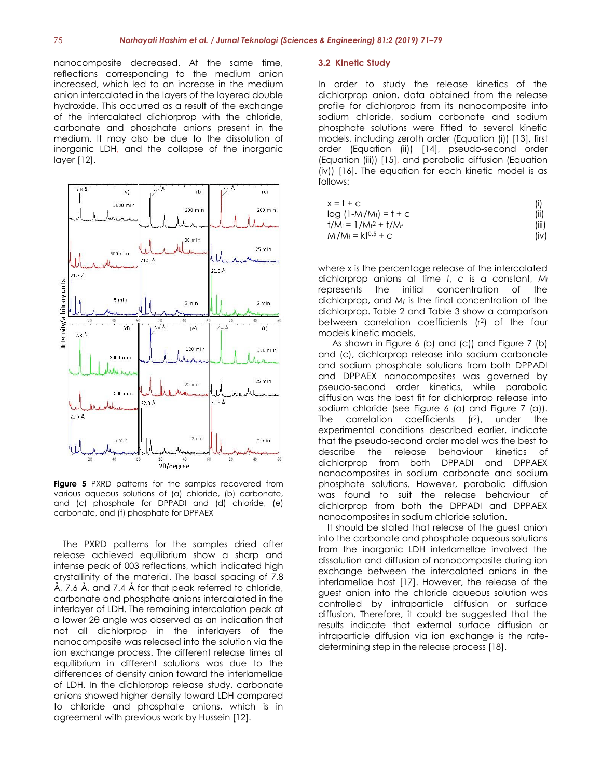nanocomposite decreased. At the same time, reflections corresponding to the medium anion increased, which led to an increase in the medium anion intercalated in the layers of the layered double hydroxide. This occurred as a result of the exchange of the intercalated dichlorprop with the chloride, carbonate and phosphate anions present in the medium. It may also be due to the dissolution of inorganic LDH, and the collapse of the inorganic layer [12].



**Figure 5** PXRD patterns for the samples recovered from various aqueous solutions of (a) chloride, (b) carbonate, and (c) phosphate for DPPADI and (d) chloride, (e) carbonate, and (f) phosphate for DPPAEX

The PXRD patterns for the samples dried after release achieved equilibrium show a sharp and intense peak of 003 reflections, which indicated high crystallinity of the material. The basal spacing of 7.8 Å, 7.6 Å, and 7.4 Å for that peak referred to chloride, carbonate and phosphate anions intercalated in the interlayer of LDH. The remaining intercalation peak at a lower 2θ angle was observed as an indication that not all dichlorprop in the interlayers of the nanocomposite was released into the solution via the ion exchange process. The different release times at equilibrium in different solutions was due to the differences of density anion toward the interlamellae of LDH. In the dichlorprop release study, carbonate anions showed higher density toward LDH compared to chloride and phosphate anions, which is in agreement with previous work by Hussein [12].

#### **3.2 Kinetic Study**

In order to study the release kinetics of the dichlorprop anion, data obtained from the release profile for dichlorprop from its nanocomposite into sodium chloride, sodium carbonate and sodium phosphate solutions were fitted to several kinetic models, including zeroth order (Equation (i)) [13], first order (Equation (ii)) [14], pseudo-second order (Equation (iii)) [15], and parabolic diffusion (Equation (iv)) [16]. The equation for each kinetic model is as follows:

| $x = 1 + C$                                       | (i)   |
|---------------------------------------------------|-------|
| $log(1-M_i/M_f) = t + c$                          | (ii)  |
| $\frac{1}{M_i} = \frac{1}{M_f^2} + \frac{1}{M_f}$ | (iii) |
| $M_i/M_f = k f^{0.5} + C$                         | (iv)  |

where *x* is the percentage release of the intercalated dichlorprop anions at time *t*, *c* is a constant, *M<sup>i</sup>* represents the initial concentration of the dichlorprop, and *M<sup>f</sup>* is the final concentration of the dichlorprop. Table 2 and Table 3 show a comparison between correlation coefficients (r<sup>2</sup> ) of the four models kinetic models.

As shown in Figure 6 (b) and (c)) and Figure 7 (b) and (c), dichlorprop release into sodium carbonate and sodium phosphate solutions from both DPPADI and DPPAEX nanocomposites was governed by pseudo-second order kinetics, while parabolic diffusion was the best fit for dichlorprop release into sodium chloride (see Figure 6 (a) and Figure 7 (a)). The correlation coefficients  $(r<sup>2</sup>)$ , under the experimental conditions described earlier, indicate that the pseudo-second order model was the best to describe the release behaviour kinetics of dichlorprop from both DPPADI and DPPAEX nanocomposites in sodium carbonate and sodium phosphate solutions. However, parabolic diffusion was found to suit the release behaviour of dichlorprop from both the DPPADI and DPPAEX nanocomposites in sodium chloride solution.

It should be stated that release of the guest anion into the carbonate and phosphate aqueous solutions from the inorganic LDH interlamellae involved the dissolution and diffusion of nanocomposite during ion exchange between the intercalated anions in the interlamellae host [17]. However, the release of the guest anion into the chloride aqueous solution was controlled by intraparticle diffusion or surface diffusion. Therefore, it could be suggested that the results indicate that external surface diffusion or intraparticle diffusion via ion exchange is the ratedetermining step in the release process [18].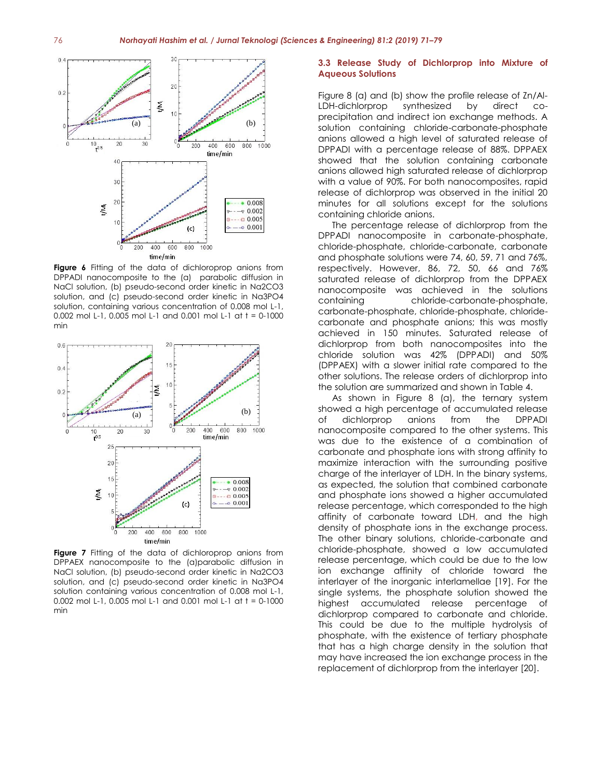

**Figure 6** Fitting of the data of dichloroprop anions from DPPADI nanocomposite to the (a) parabolic diffusion in NaCl solution, (b) pseudo-second order kinetic in Na2CO3 solution, and (c) pseudo-second order kinetic in Na3PO4 solution, containing various concentration of 0.008 mol L-1, 0.002 mol L-1, 0.005 mol L-1 and 0.001 mol L-1 at t = 0-1000 min



**Figure 7** Fitting of the data of dichloroprop anions from DPPAEX nanocomposite to the (a)parabolic diffusion in NaCl solution, (b) pseudo-second order kinetic in Na2CO3 solution, and (c) pseudo-second order kinetic in Na3PO4 solution containing various concentration of 0.008 mol L-1, 0.002 mol L-1, 0.005 mol L-1 and 0.001 mol L-1 at t = 0-1000 min

#### **3.3 Release Study of Dichlorprop into Mixture of Aqueous Solutions**

Figure 8 (a) and (b) show the profile release of Zn/Al-LDH-dichlorprop synthesized by direct coprecipitation and indirect ion exchange methods. A solution containing chloride-carbonate-phosphate anions allowed a high level of saturated release of DPPADI with a percentage release of 88%. DPPAEX showed that the solution containing carbonate anions allowed high saturated release of dichlorprop with a value of 90%. For both nanocomposites, rapid release of dichlorprop was observed in the initial 20 minutes for all solutions except for the solutions containing chloride anions.

The percentage release of dichlorprop from the DPPADI nanocomposite in carbonate-phosphate, chloride-phosphate, chloride-carbonate, carbonate and phosphate solutions were 74, 60, 59, 71 and 76%, respectively. However, 86, 72, 50, 66 and 76% saturated release of dichlorprop from the DPPAEX nanocomposite was achieved in the solutions containing chloride-carbonate-phosphate, carbonate-phosphate, chloride-phosphate, chloridecarbonate and phosphate anions; this was mostly achieved in 150 minutes. Saturated release of dichlorprop from both nanocomposites into the chloride solution was 42% (DPPADI) and 50% (DPPAEX) with a slower initial rate compared to the other solutions. The release orders of dichlorprop into the solution are summarized and shown in Table 4.

As shown in Figure 8 (a), the ternary system showed a high percentage of accumulated release of dichlorprop anions from the DPPADI nanocomposite compared to the other systems. This was due to the existence of a combination of carbonate and phosphate ions with strong affinity to maximize interaction with the surrounding positive charge of the interlayer of LDH. In the binary systems, as expected, the solution that combined carbonate and phosphate ions showed a higher accumulated release percentage, which corresponded to the high affinity of carbonate toward LDH, and the high density of phosphate ions in the exchange process. The other binary solutions, chloride-carbonate and chloride-phosphate, showed a low accumulated release percentage, which could be due to the low ion exchange affinity of chloride toward the interlayer of the inorganic interlamellae [19]. For the single systems, the phosphate solution showed the highest accumulated release percentage of dichlorprop compared to carbonate and chloride. This could be due to the multiple hydrolysis of phosphate, with the existence of tertiary phosphate that has a high charge density in the solution that may have increased the ion exchange process in the replacement of dichlorprop from the interlayer [20].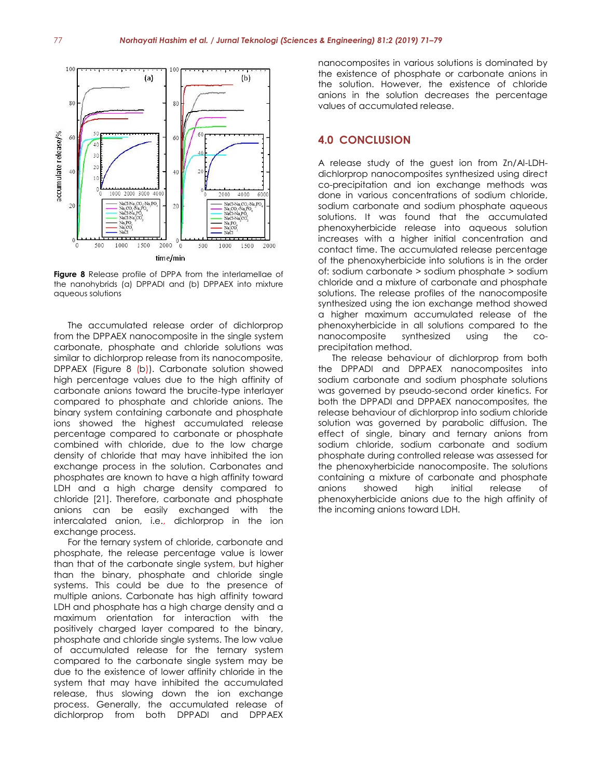

**Figure 8** Release profile of DPPA from the interlamellae of the nanohybrids (a) DPPADI and (b) DPPAEX into mixture aqueous solutions

The accumulated release order of dichlorprop from the DPPAEX nanocomposite in the single system carbonate, phosphate and chloride solutions was similar to dichlorprop release from its nanocomposite, DPPAEX (Figure 8 (b)). Carbonate solution showed high percentage values due to the high affinity of carbonate anions toward the brucite-type interlayer compared to phosphate and chloride anions. The binary system containing carbonate and phosphate ions showed the highest accumulated release percentage compared to carbonate or phosphate combined with chloride, due to the low charge density of chloride that may have inhibited the ion exchange process in the solution. Carbonates and phosphates are known to have a high affinity toward LDH and a high charge density compared to chloride [21]. Therefore, carbonate and phosphate anions can be easily exchanged with the intercalated anion, i.e., dichlorprop in the ion exchange process.

For the ternary system of chloride, carbonate and phosphate, the release percentage value is lower than that of the carbonate single system, but higher than the binary, phosphate and chloride single systems. This could be due to the presence of multiple anions. Carbonate has high affinity toward LDH and phosphate has a high charge density and a maximum orientation for interaction with the positively charged layer compared to the binary, phosphate and chloride single systems. The low value of accumulated release for the ternary system compared to the carbonate single system may be due to the existence of lower affinity chloride in the system that may have inhibited the accumulated release, thus slowing down the ion exchange process. Generally, the accumulated release of dichlorprop from both DPPADI and DPPAEX

nanocomposites in various solutions is dominated by the existence of phosphate or carbonate anions in the solution. However, the existence of chloride anions in the solution decreases the percentage values of accumulated release.

## **4.0 CONCLUSION**

A release study of the guest ion from Zn/Al-LDHdichlorprop nanocomposites synthesized using direct co-precipitation and ion exchange methods was done in various concentrations of sodium chloride, sodium carbonate and sodium phosphate aqueous solutions. It was found that the accumulated phenoxyherbicide release into aqueous solution increases with a higher initial concentration and contact time. The accumulated release percentage of the phenoxyherbicide into solutions is in the order of: sodium carbonate > sodium phosphate > sodium chloride and a mixture of carbonate and phosphate solutions. The release profiles of the nanocomposite synthesized using the ion exchange method showed a higher maximum accumulated release of the phenoxyherbicide in all solutions compared to the nanocomposite synthesized using the coprecipitation method.

The release behaviour of dichlorprop from both the DPPADI and DPPAEX nanocomposites into sodium carbonate and sodium phosphate solutions was governed by pseudo-second order kinetics. For both the DPPADI and DPPAEX nanocomposites, the release behaviour of dichlorprop into sodium chloride solution was governed by parabolic diffusion. The effect of single, binary and ternary anions from sodium chloride, sodium carbonate and sodium phosphate during controlled release was assessed for the phenoxyherbicide nanocomposite. The solutions containing a mixture of carbonate and phosphate anions showed high initial release of phenoxyherbicide anions due to the high affinity of the incoming anions toward LDH.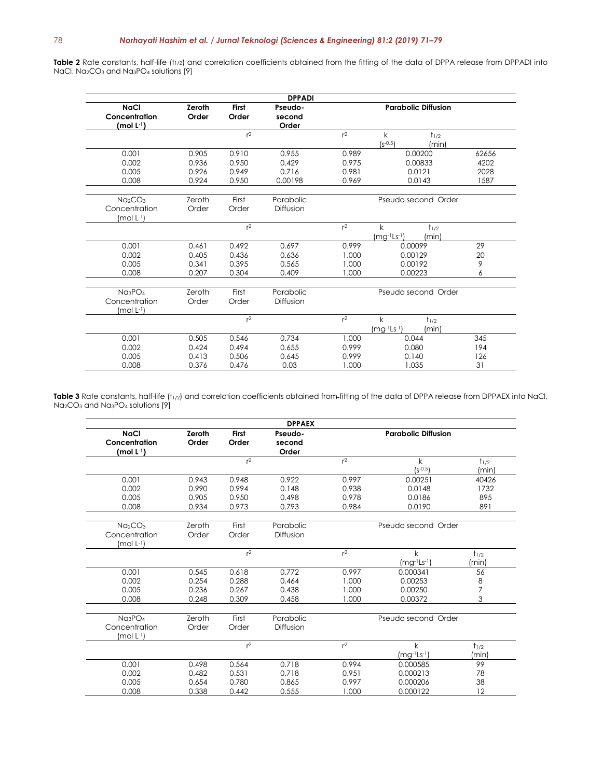Table 2 Rate constants, half-life (t<sub>1/2</sub>) and correlation coefficients obtained from the fitting of the data of DPPA release from DPPADI into NaCl, Na<sub>2</sub>CO<sub>3</sub> and Na<sub>3</sub>PO<sub>4</sub> solutions [9]

|                                 |               |                | <b>DPPADI</b> |                            |                             |       |
|---------------------------------|---------------|----------------|---------------|----------------------------|-----------------------------|-------|
| <b>NaCl</b>                     | <b>Zeroth</b> | <b>First</b>   | Pseudo-       | <b>Parabolic Diffusion</b> |                             |       |
| Concentration                   | Order         | Order          | second        |                            |                             |       |
| (mol $L^{-1}$ )                 |               |                | Order         |                            |                             |       |
|                                 |               | r <sup>2</sup> |               | r <sup>2</sup>             | $\mathsf{k}$<br>$t_{1/2}$   |       |
|                                 |               |                |               |                            | $(S^{-0.5})$<br>(min)       |       |
| 0.001                           | 0.905         | 0.910          | 0.955         | 0.989                      | 0.00200                     | 62656 |
| 0.002                           | 0.936         | 0.950          | 0.429         | 0.975                      | 0.00833                     | 4202  |
| 0.005                           | 0.926         | 0.949          | 0.716         | 0.981                      | 0.0121                      | 2028  |
| 0.008                           | 0.924         | 0.950          | 0.00198       | 0.969                      | 1587<br>0.0143              |       |
|                                 |               |                |               |                            |                             |       |
| Na <sub>2</sub> CO <sub>3</sub> | Zeroth        | First          | Parabolic     | Pseudo second Order        |                             |       |
| Concentration                   | Order         | Order          | Diffusion     |                            |                             |       |
| $(mod L=1)$                     |               |                |               |                            |                             |       |
|                                 |               | $r^2$          |               | $r^2$                      | k<br>$t_{1/2}$              |       |
|                                 |               |                |               |                            | $(mg^{-1}Ls^{-1})$<br>(min) |       |
| 0.001                           | 0.461         | 0.492          | 0.697         | 0.999                      | 0.00099                     | 29    |
| 0.002                           | 0.405         | 0.436          | 0.636         | 1.000                      | 0.00129                     | 20    |
| 0.005                           | 0.341         | 0.395          | 0.565         | 1.000                      | 9<br>0.00192                |       |
| 0.008                           | 0.207         | 0.304          | 0.409         | 1.000                      | 0.00223<br>6                |       |
|                                 |               |                |               |                            |                             |       |
| $Na_3PO_4$                      | Zeroth        | First          | Parabolic     | Pseudo second Order        |                             |       |
| Concentration                   | Order         | Order          | Diffusion     |                            |                             |       |
| $(mod L^{-1})$                  |               |                |               |                            |                             |       |
|                                 |               | r <sup>2</sup> |               | r <sup>2</sup>             | k<br>$t_{1/2}$              |       |
|                                 |               |                |               |                            | $(mg^{-1}Ls^{-1})$<br>(min) |       |
| 0.001                           | 0.505         | 0.546          | 0.734         | 1.000                      | 0.044                       | 345   |
| 0.002                           | 0.424         | 0.494          | 0.655         | 0.999                      | 0.080                       | 194   |
| 0.005                           | 0.413         | 0.506          | 0.645         | 0.999                      | 0.140                       | 126   |
| 0.008                           | 0.376         | 0.476          | 0.03          | 1.000                      | 1.035                       | 31    |

Table 3 Rate constants, half-life (t<sub>1/2</sub>) and correlation coefficients obtained from-fitting of the data of DPPA release from DPPAEX into NaCl, Na2CO<sup>3</sup> and Na3PO<sup>4</sup> solutions [9]

|                                           |                        |                       | <b>DPPAEX</b>              |                     |                            |                                       |
|-------------------------------------------|------------------------|-----------------------|----------------------------|---------------------|----------------------------|---------------------------------------|
| <b>NaCl</b><br>Concentration<br>(mol L·1) | <b>Zeroth</b><br>Order | <b>First</b><br>Order | Pseudo-<br>second<br>Order |                     | <b>Parabolic Diffusion</b> |                                       |
|                                           |                        |                       |                            |                     |                            |                                       |
|                                           |                        | r <sup>2</sup>        |                            | $r^2$               | k                          | $t_{1/2}$                             |
|                                           |                        |                       |                            |                     | $(s^{-0.5})$               | (min)                                 |
| 0.001                                     | 0.943                  | 0.948                 | 0.922                      | 0.997               | 0.00251                    | 40426                                 |
| 0.002                                     | 0.990                  | 0.994                 | 0.148                      | 0.938               | 0.0148                     | 1732                                  |
| 0.005                                     | 0.905                  | 0.950                 | 0.498                      | 0.978               | 0.0186                     | 895                                   |
| 0.008                                     | 0.934                  | 0.973                 | 0.793                      | 0.984               | 0.0190                     | 891                                   |
|                                           |                        |                       |                            |                     |                            |                                       |
| Na <sub>2</sub> CO <sub>3</sub>           | Zeroth                 | First                 | Parabolic                  |                     | Pseudo second Order        |                                       |
| Concentration                             | Order                  | Order                 | Diffusion                  |                     |                            |                                       |
| $(mod L=1)$                               |                        |                       |                            |                     |                            |                                       |
|                                           |                        | $r^2$                 |                            | $r^2$               | k                          | $t_{1/2}$                             |
|                                           |                        |                       |                            |                     | $(mg^{-1}Ls^{-1})$         | (min)                                 |
| 0.001                                     | 0.545                  | 0.618                 | 0.772                      | 0.997               | 0.000341                   | 56                                    |
| 0.002                                     | 0.254                  | 0.288                 | 0.464                      | 1.000               | 0.00253                    |                                       |
| 0.005                                     | 0.236                  | 0.267                 | 0.438                      | 1.000               | 0.00250                    | $\begin{array}{c} 8 \\ 7 \end{array}$ |
| 0.008                                     | 0.248                  | 0.309                 | 0.458                      | 1.000               | 0.00372                    | 3                                     |
|                                           |                        |                       |                            |                     |                            |                                       |
| $NQ_3PO_4$                                | Zeroth                 | First                 | Parabolic                  | Pseudo second Order |                            |                                       |
| Concentration                             | Order                  | Order                 | Diffusion                  |                     |                            |                                       |
| $(mod L=1)$                               |                        |                       |                            |                     |                            |                                       |
|                                           |                        | r <sup>2</sup>        |                            | $r^2$               | k                          | $t_{1/2}$                             |
|                                           |                        |                       |                            |                     | $(mg^{-1}Ls^{-1})$         | (min)                                 |
| 0.001                                     | 0.498                  | 0.564                 | 0.718                      | 0.994               | 0.000585                   | 99                                    |
| 0.002                                     | 0.482                  | 0.531                 | 0.718                      | 0.951               | 0.000213                   | 78                                    |
| 0.005                                     | 0.654                  | 0.780                 | 0.865                      | 0.997               | 0.000206                   | 38                                    |
| 0.008                                     | 0.338                  | 0.442                 | 0.555                      | 1.000               | 0.000122                   | 12                                    |